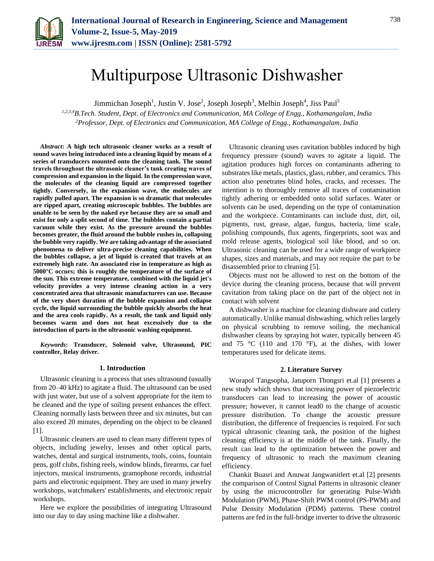

# Multipurpose Ultrasonic Dishwasher

Jimmichan Joseph<sup>1</sup>, Justin V. Jose<sup>2</sup>, Joseph Joseph<sup>3</sup>, Melbin Joseph<sup>4</sup>, Jiss Paul<sup>5</sup>

*1,2,3,4B.Tech. Student, Dept. of Electronics and Communication, MA College of Engg., Kothamangalam, India 2Professor, Dept. of Electronics and Communication, MA College of Engg., Kothamangalam, India*

*Abstract***: A high tech ultrasonic cleaner works as a result of sound waves being introduced into a cleaning liquid by means of a series of transducers mounted onto the cleaning tank. The sound travels throughout the ultrasonic cleaner's tank creating waves of compression and expansion in the liquid. In the compression wave, the molecules of the cleaning liquid are compressed together tightly. Conversely, in the expansion wave, the molecules are rapidly pulled apart. The expansion is so dramatic that molecules are ripped apart, creating microscopic bubbles. The bubbles are unable to be seen by the naked eye because they are so small and exist for only a split second of time. The bubbles contain a partial vacuum while they exist. As the pressure around the bubbles becomes greater, the fluid around the bubble rushes in, collapsing the bubble very rapidly. We are taking advantage of the associated phenomena to deliver ultra-precise cleaning capabilities. When the bubbles collapse, a jet of liquid is created that travels at an extremely high rate. An associated rise in temperature as high as 5000°C occurs; this is roughly the temperature of the surface of the sun. This extreme temperature, combined with the liquid jet's velocity provides a very intense cleaning action in a very concentrated area that ultrasonic manufacturers can use. Because of the very short duration of the bubble expansion and collapse cycle, the liquid surrounding the bubble quickly absorbs the heat and the area cools rapidly. As a result, the tank and liquid only becomes warm and does not heat excessively due to the introduction of parts in the ultrasonic washing equipment.**

*Keywords***: Transducer, Solenoid valve, Ultrasound, PIC controller, Relay driver.**

### **1. Introduction**

Ultrasonic cleaning is a process that uses ultrasound (usually from 20–40 kHz) to agitate a fluid. The ultrasound can be used with just water, but use of a solvent appropriate for the item to be cleaned and the type of soiling present enhances the effect. Cleaning normally lasts between three and six minutes, but can also exceed 20 minutes, depending on the object to be cleaned [1].

Ultrasonic cleaners are used to clean many different types of objects, including jewelry, lenses and other optical parts, watches, dental and surgical instruments, tools, coins, fountain pens, golf clubs, fishing reels, window blinds, firearms, car fuel injectors, musical instruments, gramophone records, industrial parts and electronic equipment. They are used in many jewelry workshops, watchmakers' establishments, and electronic repair workshops.

Here we explore the possibilities of integrating Ultrasound into our day to day using machine like a dishwaher.

Ultrasonic cleaning uses cavitation bubbles induced by high frequency pressure (sound) waves to agitate a liquid. The agitation produces high forces on contaminants adhering to substrates like metals, plastics, glass, rubber, and ceramics. This action also penetrates blind holes, cracks, and recesses. The intention is to thoroughly remove all traces of contamination tightly adhering or embedded onto solid surfaces. Water or solvents can be used, depending on the type of contamination and the workpiece. Contaminants can include dust, dirt, oil, pigments, rust, grease, algae, fungus, bacteria, lime scale, polishing compounds, flux agents, fingerprints, soot wax and mold release agents, biological soil like blood, and so on. Ultrasonic cleaning can be used for a wide range of workpiece shapes, sizes and materials, and may not require the part to be disassembled prior to cleaning [5].

Objects must not be allowed to rest on the bottom of the device during the cleaning process, because that will prevent cavitation from taking place on the part of the object not in contact with solvent

A dishwasher is a machine for cleaning dishware and cutlery automatically. Unlike manual dishwashing, which relies largely on physical scrubbing to remove soiling, the mechanical dishwasher cleans by spraying hot water, typically between 45 and 75 °C (110 and 170 °F), at the dishes, with lower temperatures used for delicate items.

# **2. Literature Survey**

Worapol Tangsopha, Jatuporn Thongsri et.al [1] presents a new study which shows that increasing power of piezoelectric transducers can lead to increasing the power of acoustic pressure; however, it cannot lead0 to the change of acoustic pressure distribution. To change the acoustic pressure distribution, the difference of frequencies is required. For such typical ultrasonic cleaning tank, the position of the highest cleaning efficiency is at the middle of the tank. Finally, the result can lead to the optimization between the power and frequency of ultrasonic to reach the maximum cleaning efficiency.

Chankit Buasri and Anuwat Jangwanitlert et.al [2] presents the comparison of Control Signal Patterns in ultrasonic cleaner by using the microcontroller for generating Pulse-Width Modulation (PWM), Phase-Shift PWM control (PS-PWM) and Pulse Density Modulation (PDM) patterns. These control patterns are fed in the full-bridge inverter to drive the ultrasonic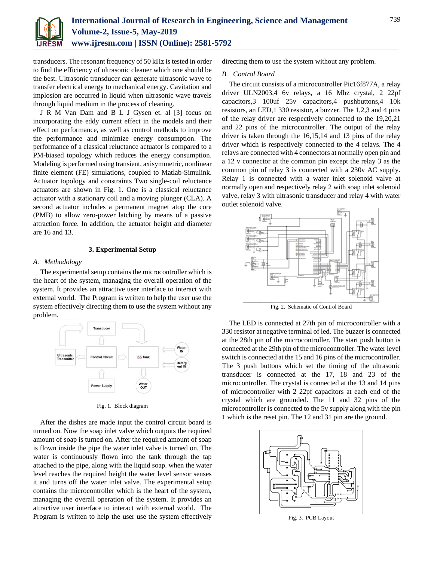

transducers. The resonant frequency of 50 kHz is tested in order to find the efficiency of ultrasonic cleaner which one should be the best. Ultrasonic transducer can generate ultrasonic wave to transfer electrical energy to mechanical energy. Cavitation and implosion are occurred in liquid when ultrasonic wave travels through liquid medium in the process of cleaning.

J R M Van Dam and B L J Gysen et. al [3] focus on incorporating the eddy current effect in the models and their effect on performance, as well as control methods to improve the performance and minimize energy consumption. The performance of a classical reluctance actuator is compared to a PM-biased topology which reduces the energy consumption. Modeling is performed using transient, axisymmetric, nonlinear finite element (FE) simulations, coupled to Matlab-Simulink. Actuator topology and constraints Two single-coil reluctance actuators are shown in Fig. 1. One is a classical reluctance actuator with a stationary coil and a moving plunger (CLA). A second actuator includes a permanent magnet atop the core (PMB) to allow zero-power latching by means of a passive attraction force. In addition, the actuator height and diameter are 16 and 13.

#### **3. Experimental Setup**

## *A. Methodology*

The experimental setup contains the microcontroller which is the heart of the system, managing the overall operation of the system. It provides an attractive user interface to interact with external world. The Program is written to help the user use the system effectively directing them to use the system without any problem.



Fig. 1. Block diagram

After the dishes are made input the control circuit board is turned on. Now the soap inlet valve which outputs the required amount of soap is turned on. After the required amount of soap is flown inside the pipe the water inlet valve is turned on. The water is continuously flown into the tank through the tap attached to the pipe, along with the liquid soap. when the water level reaches the required height the water level sensor senses it and turns off the water inlet valve. The experimental setup contains the microcontroller which is the heart of the system, managing the overall operation of the system. It provides an attractive user interface to interact with external world. The Program is written to help the user use the system effectively directing them to use the system without any problem.

### *B. Control Board*

The circuit consists of a microcontroller Pic16f877A, a relay driver ULN2003,4 6v relays, a 16 Mhz crystal, 2 22pf capacitors,3 100uf 25v capacitors,4 pushbuttons,4 10k resistors, an LED,1 330 resistor, a buzzer. The 1,2,3 and 4 pins of the relay driver are respectively connected to the 19,20,21 and 22 pins of the microcontroller. The output of the relay driver is taken through the 16,15,14 and 13 pins of the relay driver which is respectively connected to the 4 relays. The 4 relays are connected with 4 connectors at normally open pin and a 12 v connector at the common pin except the relay 3 as the common pin of relay 3 is connected with a 230v AC supply. Relay 1 is connected with a water inlet solenoid valve at normally open and respectively relay 2 with soap inlet solenoid valve, relay 3 with ultrasonic transducer and relay 4 with water outlet solenoid valve.



Fig. 2. Schematic of Control Board

The LED is connected at 27th pin of microcontroller with a 330 resistor at negative terminal of led. The buzzer is connected at the 28th pin of the microcontroller. The start push button is connected at the 29th pin of the microcontroller. The water level switch is connected at the 15 and 16 pins of the microcontroller. The 3 push buttons which set the timing of the ultrasonic transducer is connected at the 17, 18 and 23 of the microcontroller. The crystal is connected at the 13 and 14 pins of microcontroller with 2 22pf capacitors at each end of the crystal which are grounded. The 11 and 32 pins of the microcontroller is connected to the 5v supply along with the pin 1 which is the reset pin. The 12 and 31 pin are the ground.



Fig. 3. PCB Layout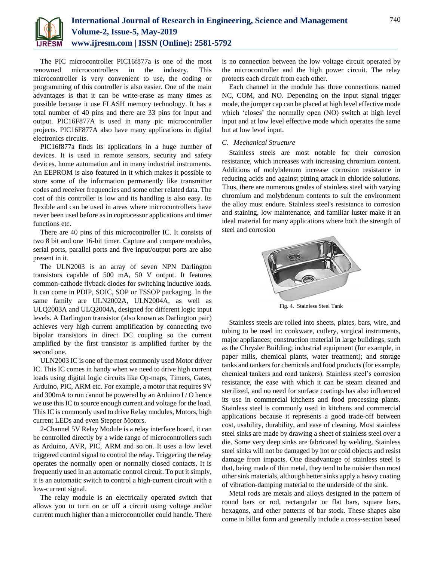

The PIC microcontroller PIC16f877a is one of the most renowned microcontrollers in the industry. This microcontroller is very convenient to use, the coding or programming of this controller is also easier. One of the main advantages is that it can be write-erase as many times as possible because it use FLASH memory technology. It has a total number of 40 pins and there are 33 pins for input and output. PIC16F877A is used in many pic microcontroller projects. PIC16F877A also have many applications in digital electronics circuits.

PIC16f877a finds its applications in a huge number of devices. It is used in remote sensors, security and safety devices, home automation and in many industrial instruments. An EEPROM is also featured in it which makes it possible to store some of the information permanently like transmitter codes and receiver frequencies and some other related data. The cost of this controller is low and its handling is also easy. Its flexible and can be used in areas where microcontrollers have never been used before as in coprocessor applications and timer functions etc.

There are 40 pins of this microcontroller IC. It consists of two 8 bit and one 16-bit timer. Capture and compare modules, serial ports, parallel ports and five input/output ports are also present in it.

The ULN2003 is an array of seven NPN Darlington transistors capable of 500 mA, 50 V output. It features common-cathode flyback diodes for switching inductive loads. It can come in PDIP, SOIC, SOP or TSSOP packaging. In the same family are ULN2002A, ULN2004A, as well as ULQ2003A and ULQ2004A, designed for different logic input levels. A Darlington transistor (also known as Darlington pair) achieves very high current amplification by connecting two bipolar transistors in direct DC coupling so the current amplified by the first transistor is amplified further by the second one.

ULN2003 IC is one of the most commonly used Motor driver IC. This IC comes in handy when we need to drive high current loads using digital logic circuits like Op-maps, Timers, Gates, Arduino, PIC, ARM etc. For example, a motor that requires 9V and 300mA to run cannot be powered by an Arduino I / O hence we use this IC to source enough current and voltage for the load. This IC is commonly used to drive Relay modules, Motors, high current LEDs and even Stepper Motors.

2-Channel 5V Relay Module is a relay interface board, it can be controlled directly by a wide range of microcontrollers such as Arduino, AVR, PIC, ARM and so on. It uses a low level triggered control signal to control the relay. Triggering the relay operates the normally open or normally closed contacts. It is frequently used in an automatic control circuit. To put it simply, it is an automatic switch to control a high-current circuit with a low-current signal.

The relay module is an electrically operated switch that allows you to turn on or off a circuit using voltage and/or current much higher than a microcontroller could handle. There is no connection between the low voltage circuit operated by the microcontroller and the high power circuit. The relay protects each circuit from each other.

Each channel in the module has three connections named NC, COM, and NO. Depending on the input signal trigger mode, the jumper cap can be placed at high level effective mode which 'closes' the normally open (NO) switch at high level input and at low level effective mode which operates the same but at low level input.

### *C. Mechanical Structure*

Stainless steels are most notable for their corrosion resistance, which increases with increasing chromium content. Additions of molybdenum increase corrosion resistance in reducing acids and against pitting attack in chloride solutions. Thus, there are numerous grades of stainless steel with varying chromium and molybdenum contents to suit the environment the alloy must endure. Stainless steel's resistance to corrosion and staining, low maintenance, and familiar luster make it an ideal material for many applications where both the strength of steel and corrosion



Fig. 4. Stainless Steel Tank

Stainless steels are rolled into sheets, plates, bars, wire, and tubing to be used in: cookware, cutlery, surgical instruments, major appliances; construction material in large buildings, such as the Chrysler Building; industrial equipment (for example, in paper mills, chemical plants, water treatment); and storage tanks and tankers for chemicals and food products (for example, chemical tankers and road tankers). Stainless steel's corrosion resistance, the ease with which it can be steam cleaned and sterilized, and no need for surface coatings has also influenced its use in commercial kitchens and food processing plants. Stainless steel is commonly used in kitchens and commercial applications because it represents a good trade-off between cost, usability, durability, and ease of cleaning. Most stainless steel sinks are made by drawing a sheet of stainless steel over a die. Some very deep sinks are fabricated by welding. Stainless steel sinks will not be damaged by hot or cold objects and resist damage from impacts. One disadvantage of stainless steel is that, being made of thin metal, they tend to be noisier than most other sink materials, although better sinks apply a heavy coating of vibration-damping material to the underside of the sink.

Metal rods are metals and alloys designed in the pattern of round bars or rod, rectangular or flat bars, square bars, hexagons, and other patterns of bar stock. These shapes also come in billet form and generally include a cross-section based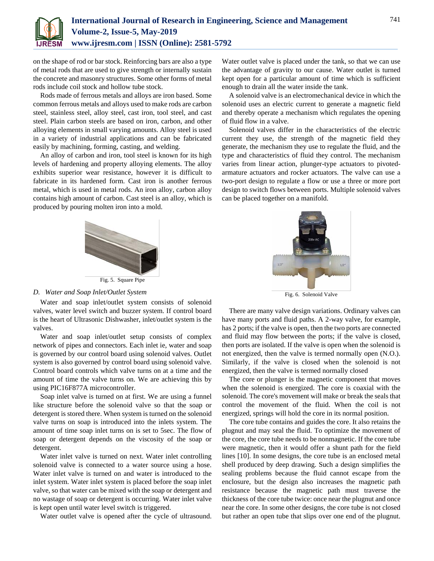

on the shape of rod or bar stock. Reinforcing bars are also a type of metal rods that are used to give strength or internally sustain the concrete and masonry structures. Some other forms of metal rods include coil stock and hollow tube stock.

Rods made of ferrous metals and alloys are iron based. Some common ferrous metals and alloys used to make rods are carbon steel, stainless steel, alloy steel, cast iron, tool steel, and cast steel. Plain carbon steels are based on iron, carbon, and other alloying elements in small varying amounts. Alloy steel is used in a variety of industrial applications and can be fabricated easily by machining, forming, casting, and welding.

An alloy of carbon and iron, tool steel is known for its high levels of hardening and property alloying elements. The alloy exhibits superior wear resistance, however it is difficult to fabricate in its hardened form. Cast iron is another ferrous metal, which is used in metal rods. An iron alloy, carbon alloy contains high amount of carbon. Cast steel is an alloy, which is produced by pouring molten iron into a mold.



Fig. 5. Square Pipe

# *D. Water and Soap Inlet/Outlet System*

Water and soap inlet/outlet system consists of solenoid valves, water level switch and buzzer system. If control board is the heart of Ultrasonic Dishwasher, inlet/outlet system is the valves.

Water and soap inlet/outlet setup consists of complex network of pipes and connectors. Each inlet ie, water and soap is governed by our control board using solenoid valves. Outlet system is also governed by control board using solenoid valve. Control board controls which valve turns on at a time and the amount of time the valve turns on. We are achieving this by using PIC16F877A microcontroller.

Soap inlet valve is turned on at first. We are using a funnel like structure before the solenoid valve so that the soap or detergent is stored there. When system is turned on the solenoid valve turns on soap is introduced into the inlets system. The amount of time soap inlet turns on is set to 5sec. The flow of soap or detergent depends on the viscosity of the soap or detergent.

Water inlet valve is turned on next. Water inlet controlling solenoid valve is connected to a water source using a hose. Water inlet valve is turned on and water is introduced to the inlet system. Water inlet system is placed before the soap inlet valve, so that water can be mixed with the soap or detergent and no wastage of soap or detergent is occurring. Water inlet valve is kept open until water level switch is triggered.

Water outlet valve is opened after the cycle of ultrasound.

Water outlet valve is placed under the tank, so that we can use the advantage of gravity to our cause. Water outlet is turned kept open for a particular amount of time which is sufficient enough to drain all the water inside the tank.

A solenoid valve is an electromechanical device in which the solenoid uses an electric current to generate a magnetic field and thereby operate a mechanism which regulates the opening of fluid flow in a valve.

Solenoid valves differ in the characteristics of the electric current they use, the strength of the magnetic field they generate, the mechanism they use to regulate the fluid, and the type and characteristics of fluid they control. The mechanism varies from linear action, plunger-type actuators to pivotedarmature actuators and rocker actuators. The valve can use a two-port design to regulate a flow or use a three or more port design to switch flows between ports. Multiple solenoid valves can be placed together on a manifold.



Fig. 6. Solenoid Valve

There are many valve design variations. Ordinary valves can have many ports and fluid paths. A 2-way valve, for example, has 2 ports; if the valve is open, then the two ports are connected and fluid may flow between the ports; if the valve is closed, then ports are isolated. If the valve is open when the solenoid is not energized, then the valve is termed normally open (N.O.). Similarly, if the valve is closed when the solenoid is not energized, then the valve is termed normally closed

The core or plunger is the magnetic component that moves when the solenoid is energized. The core is coaxial with the solenoid. The core's movement will make or break the seals that control the movement of the fluid. When the coil is not energized, springs will hold the core in its normal position.

The core tube contains and guides the core. It also retains the plugnut and may seal the fluid. To optimize the movement of the core, the core tube needs to be nonmagnetic. If the core tube were magnetic, then it would offer a shunt path for the field lines [10]. In some designs, the core tube is an enclosed metal shell produced by deep drawing. Such a design simplifies the sealing problems because the fluid cannot escape from the enclosure, but the design also increases the magnetic path resistance because the magnetic path must traverse the thickness of the core tube twice: once near the plugnut and once near the core. In some other designs, the core tube is not closed but rather an open tube that slips over one end of the plugnut.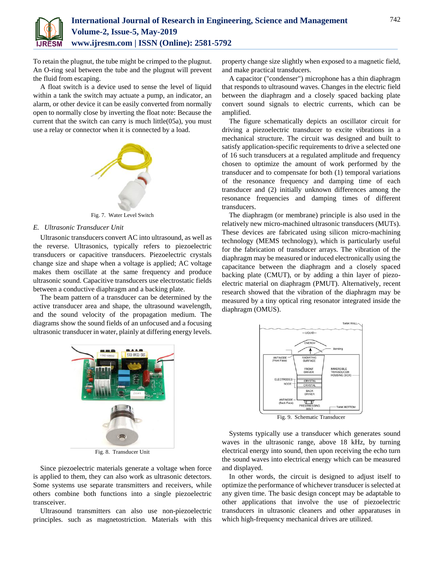

To retain the plugnut, the tube might be crimped to the plugnut. An O-ring seal between the tube and the plugnut will prevent the fluid from escaping.

A float switch is a device used to sense the level of liquid within a tank the switch may actuate a pump, an indicator, an alarm, or other device it can be easily converted from normally open to normally close by inverting the float note: Because the current that the switch can carry is much little(05a), you must use a relay or connector when it is connected by a load.



Fig. 7. Water Level Switch

### *E. Ultrasonic Transducer Unit*

Ultrasonic transducers convert AC into ultrasound, as well as the reverse. Ultrasonics, typically refers to piezoelectric transducers or capacitive transducers. Piezoelectric crystals change size and shape when a voltage is applied; AC voltage makes them oscillate at the same frequency and produce ultrasonic sound. Capacitive transducers use electrostatic fields between a conductive diaphragm and a backing plate.

The beam pattern of a transducer can be determined by the active transducer area and shape, the ultrasound wavelength, and the sound velocity of the propagation medium. The diagrams show the sound fields of an unfocused and a focusing ultrasonic transducer in water, plainly at differing energy levels.



Fig. 8. Transducer Unit

Since piezoelectric materials generate a voltage when force is applied to them, they can also work as ultrasonic detectors. Some systems use separate transmitters and receivers, while others combine both functions into a single piezoelectric transceiver.

Ultrasound transmitters can also use non-piezoelectric principles. such as magnetostriction. Materials with this

property change size slightly when exposed to a magnetic field, and make practical transducers.

A capacitor ("condenser") microphone has a thin diaphragm that responds to ultrasound waves. Changes in the electric field between the diaphragm and a closely spaced backing plate convert sound signals to electric currents, which can be amplified.

The figure schematically depicts an oscillator circuit for driving a piezoelectric transducer to excite vibrations in a mechanical structure. The circuit was designed and built to satisfy application-specific requirements to drive a selected one of 16 such transducers at a regulated amplitude and frequency chosen to optimize the amount of work performed by the transducer and to compensate for both (1) temporal variations of the resonance frequency and damping time of each transducer and (2) initially unknown differences among the resonance frequencies and damping times of different transducers.

The diaphragm (or membrane) principle is also used in the relatively new micro-machined ultrasonic transducers (MUTs). These devices are fabricated using silicon micro-machining technology (MEMS technology), which is particularly useful for the fabrication of transducer arrays. The vibration of the diaphragm may be measured or induced electronically using the capacitance between the diaphragm and a closely spaced backing plate (CMUT), or by adding a thin layer of piezoelectric material on diaphragm (PMUT). Alternatively, recent research showed that the vibration of the diaphragm may be measured by a tiny optical ring resonator integrated inside the diaphragm (OMUS).



Systems typically use a transducer which generates sound waves in the ultrasonic range, above 18 kHz, by turning electrical energy into sound, then upon receiving the echo turn the sound waves into electrical energy which can be measured and displayed.

In other words, the circuit is designed to adjust itself to optimize the performance of whichever transducer is selected at any given time. The basic design concept may be adaptable to other applications that involve the use of piezoelectric transducers in ultrasonic cleaners and other apparatuses in which high-frequency mechanical drives are utilized.